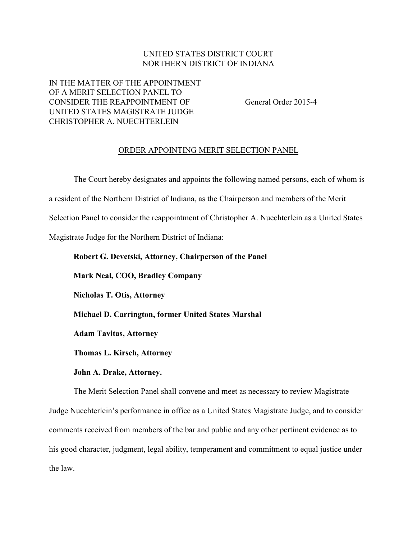## UNITED STATES DISTRICT COURT NORTHERN DISTRICT OF INDIANA

## IN THE MATTER OF THE APPOINTMENT OF A MERIT SELECTION PANEL TO CONSIDER THE REAPPOINTMENT OF General Order 2015-4 UNITED STATES MAGISTRATE JUDGE CHRISTOPHER A. NUECHTERLEIN

## ORDER APPOINTING MERIT SELECTION PANEL

The Court hereby designates and appoints the following named persons, each of whom is a resident of the Northern District of Indiana, as the Chairperson and members of the Merit Selection Panel to consider the reappointment of Christopher A. Nuechterlein as a United States Magistrate Judge for the Northern District of Indiana:

**Robert G. Devetski, Attorney, Chairperson of the Panel Mark Neal, COO, Bradley Company Nicholas T. Otis, Attorney Michael D. Carrington, former United States Marshal Adam Tavitas, Attorney Thomas L. Kirsch, Attorney**

**John A. Drake, Attorney.**

The Merit Selection Panel shall convene and meet as necessary to review Magistrate Judge Nuechterlein's performance in office as a United States Magistrate Judge, and to consider comments received from members of the bar and public and any other pertinent evidence as to his good character, judgment, legal ability, temperament and commitment to equal justice under the law.